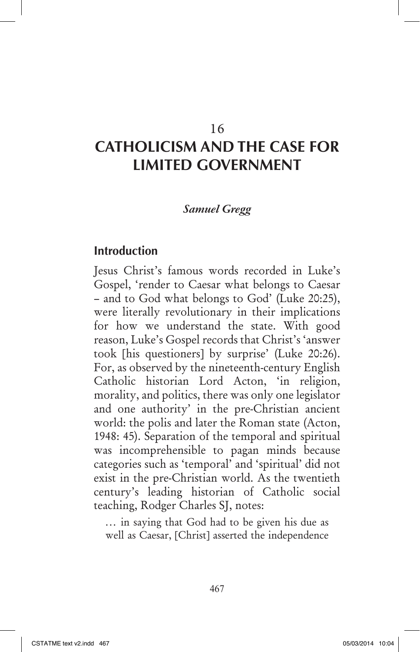#### 16

## **CATHOLICISM AND THE CASE FOR LIMITED GOVERNMENT**

#### *Samuel Gregg*

#### **Introduction**

Jesus Christ's famous words recorded in Luke's Gospel, 'render to Caesar what belongs to Caesar – and to God what belongs to God' (Luke 20:25), were literally revolutionary in their implications for how we understand the state. With good reason, Luke's Gospel records that Christ's 'answer took [his questioners] by surprise' (Luke 20:26). For, as observed by the nineteenth-century English Catholic historian Lord Acton, 'in religion, morality, and politics, there was only one legislator and one authority' in the pre-Christian ancient world: the polis and later the Roman state (Acton, 1948: 45). Separation of the temporal and spiritual was incomprehensible to pagan minds because categories such as 'temporal' and 'spiritual' did not exist in the pre-Christian world. As the twentieth century's leading historian of Catholic social teaching, Rodger Charles SJ, notes:

... in saying that God had to be given his due as well as Caesar, [Christ] asserted the independence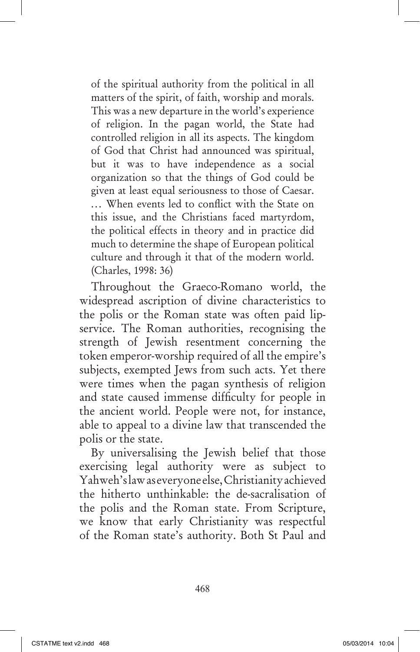of the spiritual authority from the political in all matters of the spirit, of faith, worship and morals. This was a new departure in the world's experience of religion. In the pagan world, the State had controlled religion in all its aspects. The kingdom of God that Christ had announced was spiritual, but it was to have independence as a social organization so that the things of God could be given at least equal seriousness to those of Caesar. ... When events led to conflict with the State on this issue, and the Christians faced martyrdom, the political effects in theory and in practice did much to determine the shape of European political culture and through it that of the modern world. (Charles, 1998: 36)

Throughout the Graeco-Romano world, the widespread ascription of divine characteristics to the polis or the Roman state was often paid lipservice. The Roman authorities, recognising the strength of Jewish resentment concerning the token emperor-worship required of all the empire's subjects, exempted Jews from such acts. Yet there were times when the pagan synthesis of religion and state caused immense difficulty for people in the ancient world. People were not, for instance, able to appeal to a divine law that transcended the polis or the state.

By universalising the Jewish belief that those exercising legal authority were as subject to Yahweh's law as everyone else, Christianity achieved the hitherto unthinkable: the de-sacralisation of the polis and the Roman state. From Scripture, we know that early Christianity was respectful of the Roman state's authority. Both St Paul and

468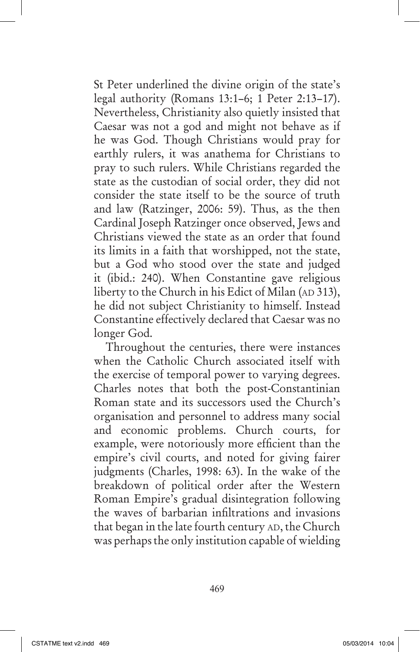St Peter underlined the divine origin of the state's legal authority (Romans 13:1–6; 1 Peter 2:13–17). Nevertheless, Christianity also quietly insisted that Caesar was not a god and might not behave as if he was God. Though Christians would pray for earthly rulers, it was anathema for Christians to pray to such rulers. While Christians regarded the state as the custodian of social order, they did not consider the state itself to be the source of truth and law (Ratzinger, 2006: 59). Thus, as the then Cardinal Joseph Ratzinger once observed, Jews and Christians viewed the state as an order that found its limits in a faith that worshipped, not the state, but a God who stood over the state and judged it (ibid.: 240). When Constantine gave religious liberty to the Church in his Edict of Milan ( $AD$  313), he did not subject Christianity to himself. Instead Constantine effectively declared that Caesar was no longer God.

Throughout the centuries, there were instances when the Catholic Church associated itself with the exercise of temporal power to varying degrees. Charles notes that both the post-Constantinian Roman state and its successors used the Church's organisation and personnel to address many social and economic problems. Church courts, for example, were notoriously more efficient than the empire's civil courts, and noted for giving fairer judgments (Charles, 1998: 63). In the wake of the breakdown of political order after the Western Roman Empire's gradual disintegration following the waves of barbarian infiltrations and invasions that began in the late fourth century AD, the Church was perhaps the only institution capable of wielding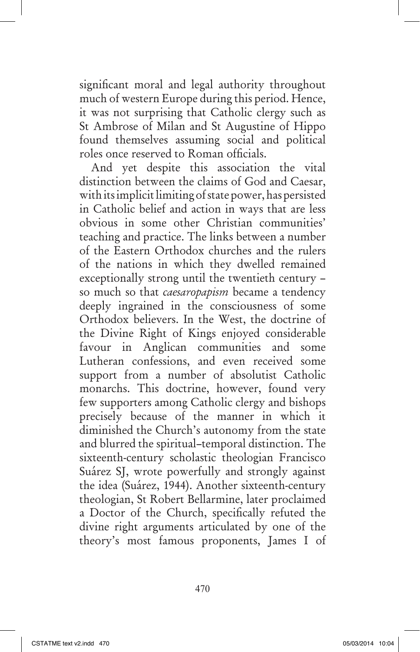significant moral and legal authority throughout much of western Europe during this period. Hence, it was not surprising that Catholic clergy such as St Ambrose of Milan and St Augustine of Hippo found themselves assuming social and political roles once reserved to Roman officials.

And yet despite this association the vital distinction between the claims of God and Caesar, with its implicit limiting of state power, has persisted in Catholic belief and action in ways that are less obvious in some other Christian communities' teaching and practice. The links between a number of the Eastern Orthodox churches and the rulers of the nations in which they dwelled remained exceptionally strong until the twentieth century – so much so that *caesaropapism* became a tendency deeply ingrained in the consciousness of some Orthodox believers. In the West, the doctrine of the Divine Right of Kings enjoyed considerable favour in Anglican communities and some Lutheran confessions, and even received some support from a number of absolutist Catholic monarchs. This doctrine, however, found very few supporters among Catholic clergy and bishops precisely because of the manner in which it diminished the Church's autonomy from the state and blurred the spiritual–temporal distinction. The sixteenth-century scholastic theologian Francisco Suárez SJ, wrote powerfully and strongly against the idea (Suárez, 1944). Another sixteenth-century theologian, St Robert Bellarmine, later proclaimed a Doctor of the Church, specifically refuted the divine right arguments articulated by one of the theory's most famous proponents, James I of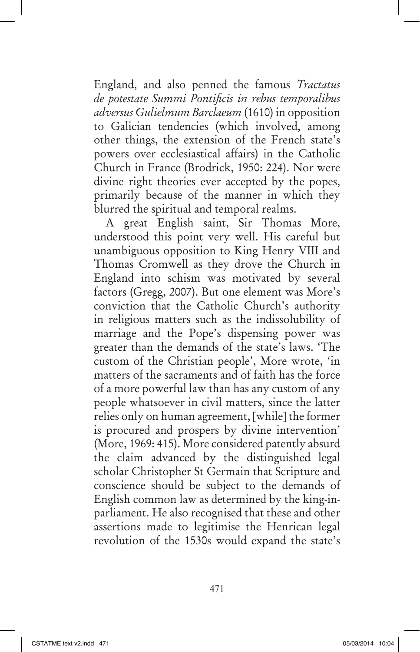England, and also penned the famous *Tractatus de potestate Summi Pontificis in rebus temporalibus adversus Gulielmum Barclaeum* (1610) in opposition to Galician tendencies (which involved, among other things, the extension of the French state's powers over ecclesiastical affairs) in the Catholic Church in France (Brodrick, 1950: 224). Nor were divine right theories ever accepted by the popes, primarily because of the manner in which they blurred the spiritual and temporal realms.

A great English saint, Sir Thomas More, understood this point very well. His careful but unambiguous opposition to King Henry VIII and Thomas Cromwell as they drove the Church in England into schism was motivated by several factors (Gregg, 2007). But one element was More's conviction that the Catholic Church's authority in religious matters such as the indissolubility of marriage and the Pope's dispensing power was greater than the demands of the state's laws. 'The custom of the Christian people', More wrote, 'in matters of the sacraments and of faith has the force of a more powerful law than has any custom of any people whatsoever in civil matters, since the latter relies only on human agreement, [while] the former is procured and prospers by divine intervention' (More, 1969: 415). More considered patently absurd the claim advanced by the distinguished legal scholar Christopher St Germain that Scripture and conscience should be subject to the demands of English common law as determined by the king-inparliament. He also recognised that these and other assertions made to legitimise the Henrican legal revolution of the 1530s would expand the state's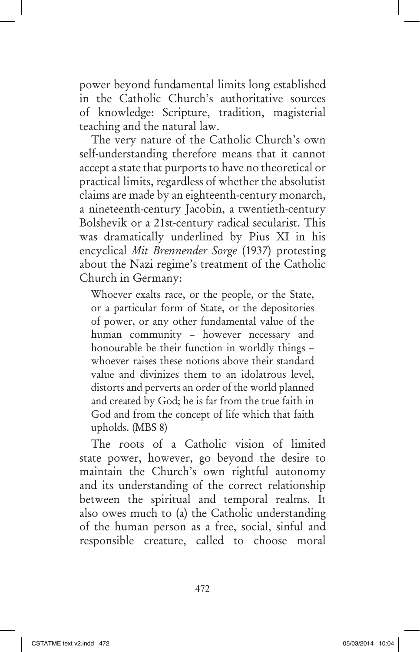power beyond fundamental limits long established in the Catholic Church's authoritative sources of knowledge: Scripture, tradition, magisterial teaching and the natural law.

The very nature of the Catholic Church's own self-understanding therefore means that it cannot accept a state that purports to have no theoretical or practical limits, regardless of whether the absolutist claims are made by an eighteenth-century monarch, a nineteenth-century Jacobin, a twentieth-century Bolshevik or a 21st-century radical secularist. This was dramatically underlined by Pius XI in his encyclical *Mit Brennender Sorge* (1937) protesting about the Nazi regime's treatment of the Catholic Church in Germany:

Whoever exalts race, or the people, or the State, or a particular form of State, or the depositories of power, or any other fundamental value of the human community – however necessary and honourable be their function in worldly things – whoever raises these notions above their standard value and divinizes them to an idolatrous level, distorts and perverts an order of the world planned and created by God; he is far from the true faith in God and from the concept of life which that faith upholds. (MBS 8)

The roots of a Catholic vision of limited state power, however, go beyond the desire to maintain the Church's own rightful autonomy and its understanding of the correct relationship between the spiritual and temporal realms. It also owes much to (a) the Catholic understanding of the human person as a free, social, sinful and responsible creature, called to choose moral

472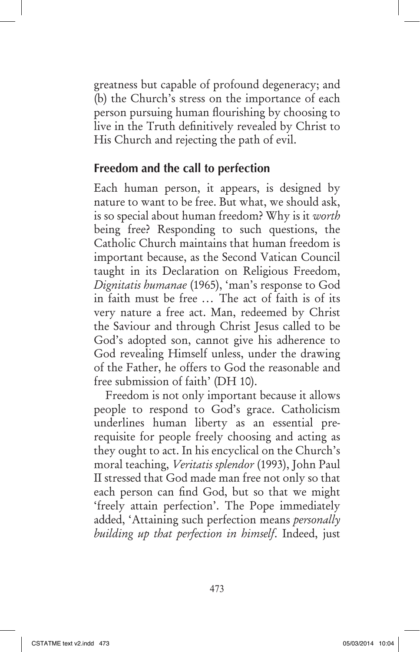greatness but capable of profound degeneracy; and (b) the Church's stress on the importance of each person pursuing human flourishing by choosing to live in the Truth definitively revealed by Christ to His Church and rejecting the path of evil.

#### **Freedom and the call to perfection**

Each human person, it appears, is designed by nature to want to be free. But what, we should ask, is so special about human freedom? Why is it *worth* being free? Responding to such questions, the Catholic Church maintains that human freedom is important because, as the Second Vatican Council taught in its Declaration on Religious Freedom, *Dignitatis humanae* (1965), 'man's response to God in faith must be free ... The act of faith is of its very nature a free act. Man, redeemed by Christ the Saviour and through Christ Jesus called to be God's adopted son, cannot give his adherence to God revealing Himself unless, under the drawing of the Father, he offers to God the reasonable and free submission of faith' (DH 10).

Freedom is not only important because it allows people to respond to God's grace. Catholicism underlines human liberty as an essential prerequisite for people freely choosing and acting as they ought to act. In his encyclical on the Church's moral teaching, *Veritatis splendor* (1993), John Paul II stressed that God made man free not only so that each person can find God, but so that we might 'freely attain perfection'. The Pope immediately added, 'Attaining such perfection means *personally building up that perfection in himself*. Indeed, just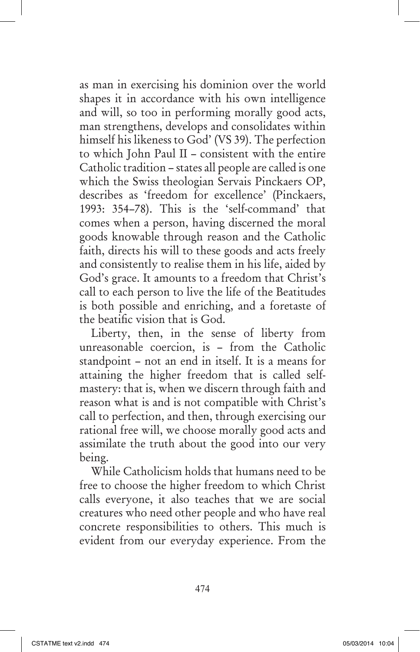as man in exercising his dominion over the world shapes it in accordance with his own intelligence and will, so too in performing morally good acts, man strengthens, develops and consolidates within himself his likeness to God' (VS 39). The perfection to which John Paul II – consistent with the entire Catholic tradition – states all people are called is one which the Swiss theologian Servais Pinckaers OP, describes as 'freedom for excellence' (Pinckaers, 1993: 354–78). This is the 'self-command' that comes when a person, having discerned the moral goods knowable through reason and the Catholic faith, directs his will to these goods and acts freely and consistently to realise them in his life, aided by God's grace. It amounts to a freedom that Christ's call to each person to live the life of the Beatitudes is both possible and enriching, and a foretaste of the beatific vision that is God.

Liberty, then, in the sense of liberty from unreasonable coercion, is – from the Catholic standpoint – not an end in itself. It is a means for attaining the higher freedom that is called selfmastery: that is, when we discern through faith and reason what is and is not compatible with Christ's call to perfection, and then, through exercising our rational free will, we choose morally good acts and assimilate the truth about the good into our very being.

While Catholicism holds that humans need to be free to choose the higher freedom to which Christ calls everyone, it also teaches that we are social creatures who need other people and who have real concrete responsibilities to others. This much is evident from our everyday experience. From the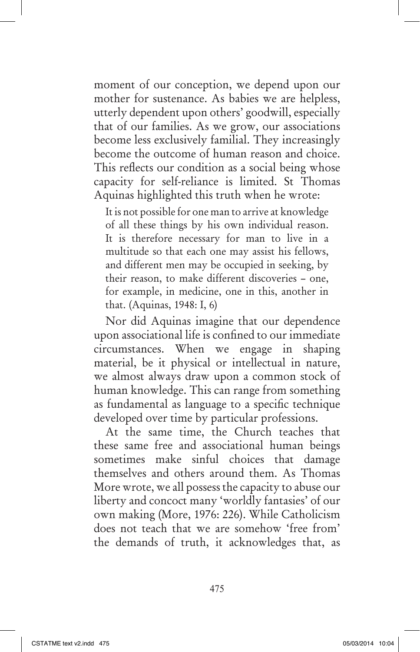moment of our conception, we depend upon our mother for sustenance. As babies we are helpless, utterly dependent upon others' goodwill, especially that of our families. As we grow, our associations become less exclusively familial. They increasingly become the outcome of human reason and choice. This reflects our condition as a social being whose capacity for self-reliance is limited. St Thomas Aquinas highlighted this truth when he wrote:

It is not possible for one man to arrive at knowledge of all these things by his own individual reason. It is therefore necessary for man to live in a multitude so that each one may assist his fellows, and different men may be occupied in seeking, by their reason, to make different discoveries – one, for example, in medicine, one in this, another in that. (Aquinas, 1948: I, 6)

Nor did Aquinas imagine that our dependence upon associational life is confined to our immediate circumstances. When we engage in shaping material, be it physical or intellectual in nature, we almost always draw upon a common stock of human knowledge. This can range from something as fundamental as language to a specific technique developed over time by particular professions.

At the same time, the Church teaches that these same free and associational human beings sometimes make sinful choices that damage themselves and others around them. As Thomas More wrote, we all possess the capacity to abuse our liberty and concoct many 'worldly fantasies' of our own making (More, 1976: 226). While Catholicism does not teach that we are somehow 'free from' the demands of truth, it acknowledges that, as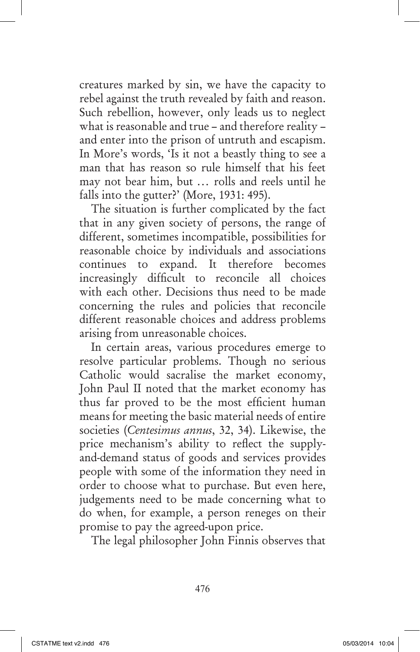creatures marked by sin, we have the capacity to rebel against the truth revealed by faith and reason. Such rebellion, however, only leads us to neglect what is reasonable and true – and therefore reality – and enter into the prison of untruth and escapism. In More's words, 'Is it not a beastly thing to see a man that has reason so rule himself that his feet may not bear him, but ... rolls and reels until he falls into the gutter?' (More, 1931: 495).

The situation is further complicated by the fact that in any given society of persons, the range of different, sometimes incompatible, possibilities for reasonable choice by individuals and associations continues to expand. It therefore becomes increasingly difficult to reconcile all choices with each other. Decisions thus need to be made concerning the rules and policies that reconcile different reasonable choices and address problems arising from unreasonable choices.

In certain areas, various procedures emerge to resolve particular problems. Though no serious Catholic would sacralise the market economy, John Paul II noted that the market economy has thus far proved to be the most efficient human means for meeting the basic material needs of entire societies (*Centesimus annus*, 32, 34). Likewise, the price mechanism's ability to reflect the supplyand-demand status of goods and services provides people with some of the information they need in order to choose what to purchase. But even here, judgements need to be made concerning what to do when, for example, a person reneges on their promise to pay the agreed-upon price.

The legal philosopher John Finnis observes that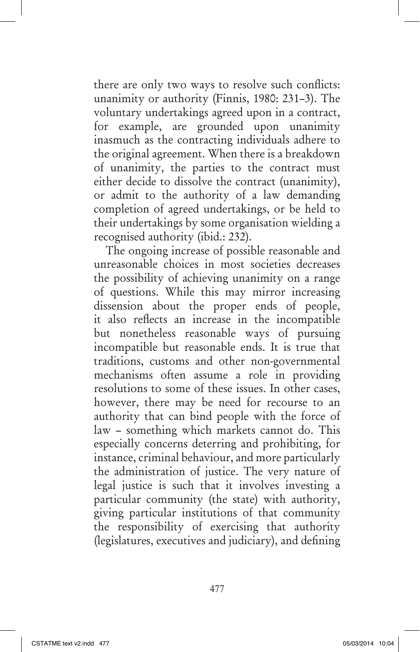there are only two ways to resolve such conflicts: unanimity or authority (Finnis, 1980: 231–3). The voluntary undertakings agreed upon in a contract, for example, are grounded upon unanimity inasmuch as the contracting individuals adhere to the original agreement. When there is a breakdown of unanimity, the parties to the contract must either decide to dissolve the contract (unanimity), or admit to the authority of a law demanding completion of agreed undertakings, or be held to their undertakings by some organisation wielding a recognised authority (ibid.: 232).

The ongoing increase of possible reasonable and unreasonable choices in most societies decreases the possibility of achieving unanimity on a range of questions. While this may mirror increasing dissension about the proper ends of people, it also reflects an increase in the incompatible but nonetheless reasonable ways of pursuing incompatible but reasonable ends. It is true that traditions, customs and other non-governmental mechanisms often assume a role in providing resolutions to some of these issues. In other cases, however, there may be need for recourse to an authority that can bind people with the force of law – something which markets cannot do. This especially concerns deterring and prohibiting, for instance, criminal behaviour, and more particularly the administration of justice. The very nature of legal justice is such that it involves investing a particular community (the state) with authority, giving particular institutions of that community the responsibility of exercising that authority (legislatures, executives and judiciary), and defining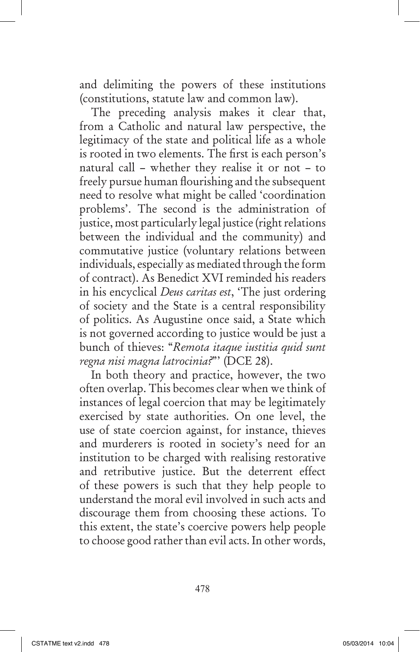and delimiting the powers of these institutions (constitutions, statute law and common law).

The preceding analysis makes it clear that, from a Catholic and natural law perspective, the legitimacy of the state and political life as a whole is rooted in two elements. The first is each person's natural call – whether they realise it or not – to freely pursue human flourishing and the subsequent need to resolve what might be called 'coordination problems'. The second is the administration of justice, most particularly legal justice (right relations between the individual and the community) and commutative justice (voluntary relations between individuals, especially as mediated through the form of contract). As Benedict XVI reminded his readers in his encyclical *Deus caritas est*, 'The just ordering of society and the State is a central responsibility of politics. As Augustine once said, a State which is not governed according to justice would be just a bunch of thieves: "*Remota itaque iustitia quid sunt regna nisi magna latrocinia?*"' (DCE 28).

In both theory and practice, however, the two often overlap. This becomes clear when we think of instances of legal coercion that may be legitimately exercised by state authorities. On one level, the use of state coercion against, for instance, thieves and murderers is rooted in society's need for an institution to be charged with realising restorative and retributive justice. But the deterrent effect of these powers is such that they help people to understand the moral evil involved in such acts and discourage them from choosing these actions. To this extent, the state's coercive powers help people to choose good rather than evil acts. In other words,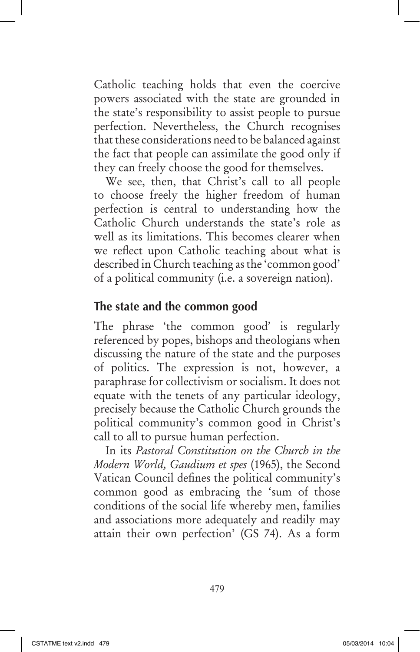Catholic teaching holds that even the coercive powers associated with the state are grounded in the state's responsibility to assist people to pursue perfection. Nevertheless, the Church recognises that these considerations need to be balanced against the fact that people can assimilate the good only if they can freely choose the good for themselves.

We see, then, that Christ's call to all people to choose freely the higher freedom of human perfection is central to understanding how the Catholic Church understands the state's role as well as its limitations. This becomes clearer when we reflect upon Catholic teaching about what is described in Church teaching as the 'common good' of a political community (i.e. a sovereign nation).

#### **The state and the common good**

The phrase 'the common good' is regularly referenced by popes, bishops and theologians when discussing the nature of the state and the purposes of politics. The expression is not, however, a paraphrase for collectivism or socialism. It does not equate with the tenets of any particular ideology, precisely because the Catholic Church grounds the political community's common good in Christ's call to all to pursue human perfection.

In its *Pastoral Constitution on the Church in the Modern World, Gaudium et spes* (1965), the Second Vatican Council defines the political community's common good as embracing the 'sum of those conditions of the social life whereby men, families and associations more adequately and readily may attain their own perfection' (GS 74). As a form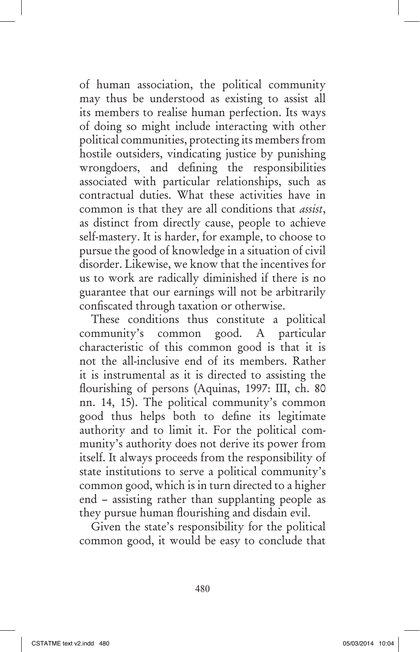of human association, the political community may thus be understood as existing to assist all its members to realise human perfection. Its ways of doing so might include interacting with other political communities, protecting its members from hostile outsiders, vindicating justice by punishing wrongdoers, and defining the responsibilities associated with particular relationships, such as contractual duties. What these activities have in common is that they are all conditions that *assist*, as distinct from directly cause, people to achieve self-mastery. It is harder, for example, to choose to pursue the good of knowledge in a situation of civil disorder. Likewise, we know that the incentives for us to work are radically diminished if there is no guarantee that our earnings will not be arbitrarily confiscated through taxation or otherwise.

These conditions thus constitute a political community's common good. A particular characteristic of this common good is that it is not the all-inclusive end of its members. Rather it is instrumental as it is directed to assisting the flourishing of persons (Aquinas, 1997: III, ch. 80 nn. 14, 15). The political community's common good thus helps both to define its legitimate authority and to limit it. For the political community's authority does not derive its power from itself. It always proceeds from the responsibility of state institutions to serve a political community's common good, which is in turn directed to a higher end – assisting rather than supplanting people as they pursue human flourishing and disdain evil.

Given the state's responsibility for the political common good, it would be easy to conclude that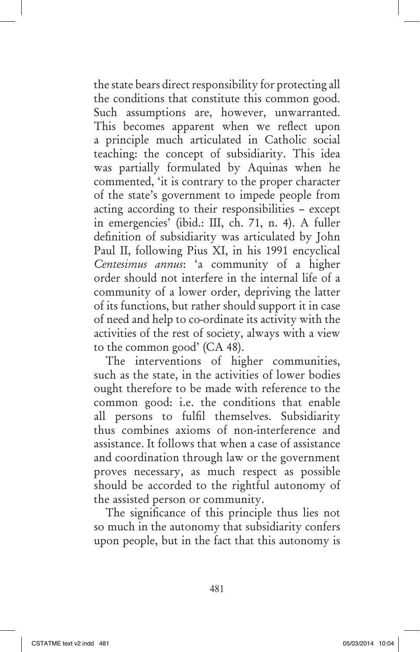the state bears direct responsibility for protecting all the conditions that constitute this common good. Such assumptions are, however, unwarranted. This becomes apparent when we reflect upon a principle much articulated in Catholic social teaching: the concept of subsidiarity. This idea was partially formulated by Aquinas when he commented, 'it is contrary to the proper character of the state's government to impede people from acting according to their responsibilities – except in emergencies' (ibid.: III, ch. 71, n. 4). A fuller definition of subsidiarity was articulated by John Paul II, following Pius XI, in his 1991 encyclical *Centesimus annus*: 'a community of a higher order should not interfere in the internal life of a community of a lower order, depriving the latter of its functions, but rather should support it in case of need and help to co-ordinate its activity with the activities of the rest of society, always with a view to the common good' (CA 48).

The interventions of higher communities, such as the state, in the activities of lower bodies ought therefore to be made with reference to the common good: i.e. the conditions that enable all persons to fulfil themselves. Subsidiarity thus combines axioms of non-interference and assistance. It follows that when a case of assistance and coordination through law or the government proves necessary, as much respect as possible should be accorded to the rightful autonomy of the assisted person or community.

The significance of this principle thus lies not so much in the autonomy that subsidiarity confers upon people, but in the fact that this autonomy is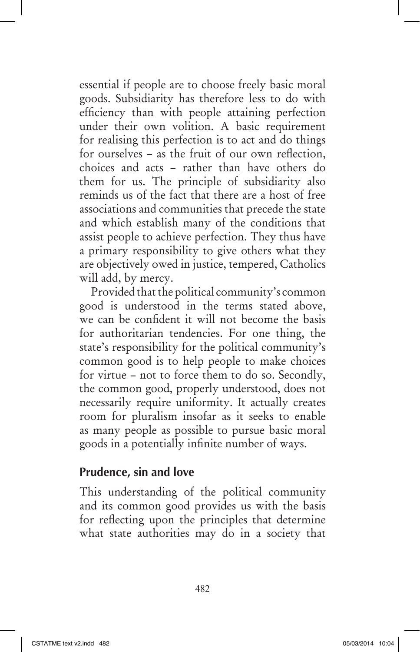essential if people are to choose freely basic moral goods. Subsidiarity has therefore less to do with efficiency than with people attaining perfection under their own volition. A basic requirement for realising this perfection is to act and do things for ourselves – as the fruit of our own reflection, choices and acts – rather than have others do them for us. The principle of subsidiarity also reminds us of the fact that there are a host of free associations and communities that precede the state and which establish many of the conditions that assist people to achieve perfection. They thus have a primary responsibility to give others what they are objectively owed in justice, tempered, Catholics will add, by mercy.

Provided that the political community's common good is understood in the terms stated above, we can be confident it will not become the basis for authoritarian tendencies. For one thing, the state's responsibility for the political community's common good is to help people to make choices for virtue – not to force them to do so. Secondly, the common good, properly understood, does not necessarily require uniformity. It actually creates room for pluralism insofar as it seeks to enable as many people as possible to pursue basic moral goods in a potentially infinite number of ways.

#### **Prudence, sin and love**

This understanding of the political community and its common good provides us with the basis for reflecting upon the principles that determine what state authorities may do in a society that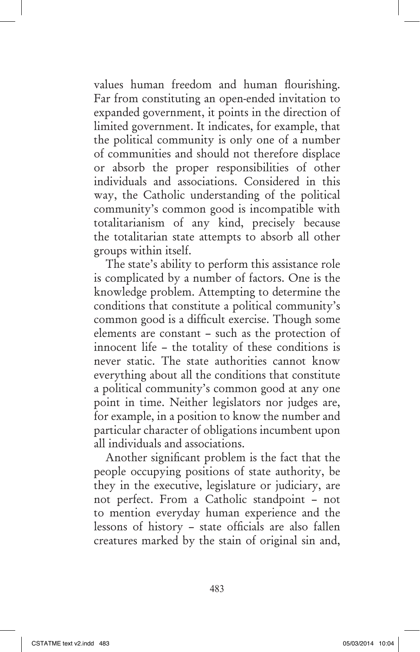values human freedom and human flourishing. Far from constituting an open-ended invitation to expanded government, it points in the direction of limited government. It indicates, for example, that the political community is only one of a number of communities and should not therefore displace or absorb the proper responsibilities of other individuals and associations. Considered in this way, the Catholic understanding of the political community's common good is incompatible with totalitarianism of any kind, precisely because the totalitarian state attempts to absorb all other groups within itself.

The state's ability to perform this assistance role is complicated by a number of factors. One is the knowledge problem. Attempting to determine the conditions that constitute a political community's common good is a difficult exercise. Though some elements are constant – such as the protection of innocent life – the totality of these conditions is never static. The state authorities cannot know everything about all the conditions that constitute a political community's common good at any one point in time. Neither legislators nor judges are, for example, in a position to know the number and particular character of obligations incumbent upon all individuals and associations.

Another significant problem is the fact that the people occupying positions of state authority, be they in the executive, legislature or judiciary, are not perfect. From a Catholic standpoint – not to mention everyday human experience and the lessons of history – state officials are also fallen creatures marked by the stain of original sin and,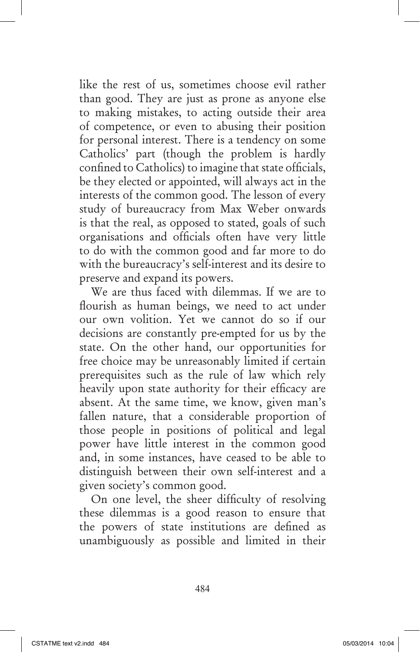like the rest of us, sometimes choose evil rather than good. They are just as prone as anyone else to making mistakes, to acting outside their area of competence, or even to abusing their position for personal interest. There is a tendency on some Catholics' part (though the problem is hardly confined to Catholics) to imagine that state officials, be they elected or appointed, will always act in the interests of the common good. The lesson of every study of bureaucracy from Max Weber onwards is that the real, as opposed to stated, goals of such organisations and officials often have very little to do with the common good and far more to do with the bureaucracy's self-interest and its desire to preserve and expand its powers.

We are thus faced with dilemmas. If we are to flourish as human beings, we need to act under our own volition. Yet we cannot do so if our decisions are constantly pre-empted for us by the state. On the other hand, our opportunities for free choice may be unreasonably limited if certain prerequisites such as the rule of law which rely heavily upon state authority for their efficacy are absent. At the same time, we know, given man's fallen nature, that a considerable proportion of those people in positions of political and legal power have little interest in the common good and, in some instances, have ceased to be able to distinguish between their own self-interest and a given society's common good.

On one level, the sheer difficulty of resolving these dilemmas is a good reason to ensure that the powers of state institutions are defined as unambiguously as possible and limited in their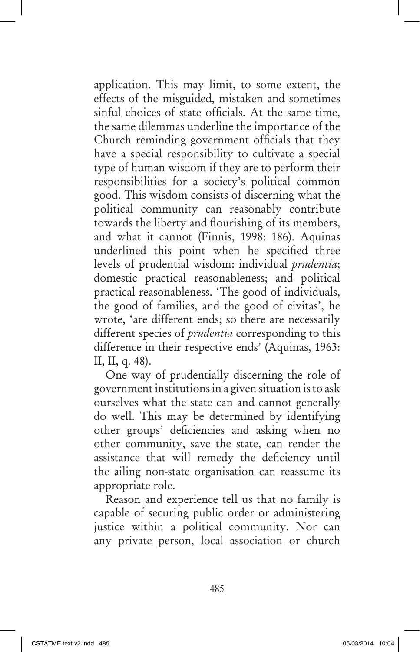application. This may limit, to some extent, the effects of the misguided, mistaken and sometimes sinful choices of state officials. At the same time, the same dilemmas underline the importance of the Church reminding government officials that they have a special responsibility to cultivate a special type of human wisdom if they are to perform their responsibilities for a society's political common good. This wisdom consists of discerning what the political community can reasonably contribute towards the liberty and flourishing of its members, and what it cannot (Finnis, 1998: 186). Aquinas underlined this point when he specified three levels of prudential wisdom: individual *prudentia*; domestic practical reasonableness; and political practical reasonableness. 'The good of individuals, the good of families, and the good of civitas', he wrote, 'are different ends; so there are necessarily different species of *prudentia* corresponding to this difference in their respective ends' (Aquinas, 1963: II, II, q. 48).

One way of prudentially discerning the role of government institutions in a given situation is to ask ourselves what the state can and cannot generally do well. This may be determined by identifying other groups' deficiencies and asking when no other community, save the state, can render the assistance that will remedy the deficiency until the ailing non-state organisation can reassume its appropriate role.

Reason and experience tell us that no family is capable of securing public order or administering justice within a political community. Nor can any private person, local association or church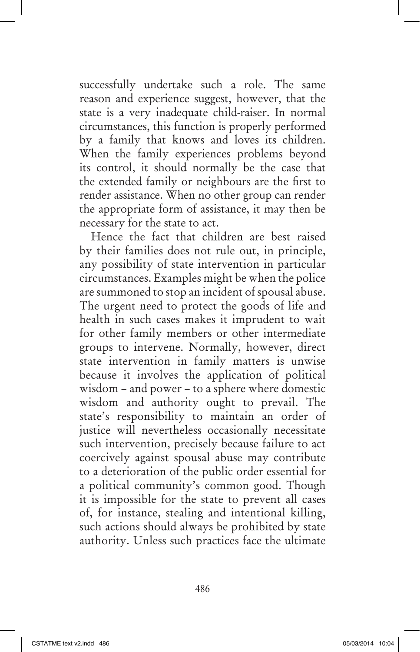successfully undertake such a role. The same reason and experience suggest, however, that the state is a very inadequate child-raiser. In normal circumstances, this function is properly performed by a family that knows and loves its children. When the family experiences problems beyond its control, it should normally be the case that the extended family or neighbours are the first to render assistance. When no other group can render the appropriate form of assistance, it may then be necessary for the state to act.

Hence the fact that children are best raised by their families does not rule out, in principle, any possibility of state intervention in particular circumstances. Examples might be when the police are summoned to stop an incident of spousal abuse. The urgent need to protect the goods of life and health in such cases makes it imprudent to wait for other family members or other intermediate groups to intervene. Normally, however, direct state intervention in family matters is unwise because it involves the application of political wisdom – and power – to a sphere where domestic wisdom and authority ought to prevail. The state's responsibility to maintain an order of justice will nevertheless occasionally necessitate such intervention, precisely because failure to act coercively against spousal abuse may contribute to a deterioration of the public order essential for a political community's common good. Though it is impossible for the state to prevent all cases of, for instance, stealing and intentional killing, such actions should always be prohibited by state authority. Unless such practices face the ultimate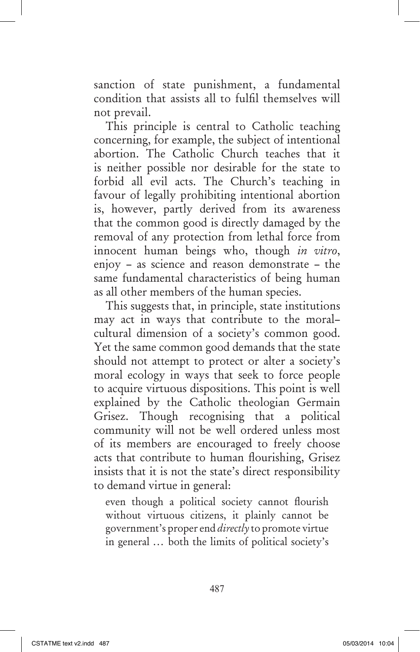sanction of state punishment, a fundamental condition that assists all to fulfil themselves will not prevail.

This principle is central to Catholic teaching concerning, for example, the subject of intentional abortion. The Catholic Church teaches that it is neither possible nor desirable for the state to forbid all evil acts. The Church's teaching in favour of legally prohibiting intentional abortion is, however, partly derived from its awareness that the common good is directly damaged by the removal of any protection from lethal force from innocent human beings who, though *in vitro*, enjoy – as science and reason demonstrate – the same fundamental characteristics of being human as all other members of the human species.

This suggests that, in principle, state institutions may act in ways that contribute to the moral– cultural dimension of a society's common good. Yet the same common good demands that the state should not attempt to protect or alter a society's moral ecology in ways that seek to force people to acquire virtuous dispositions. This point is well explained by the Catholic theologian Germain Grisez. Though recognising that a political community will not be well ordered unless most of its members are encouraged to freely choose acts that contribute to human flourishing, Grisez insists that it is not the state's direct responsibility to demand virtue in general:

even though a political society cannot flourish without virtuous citizens, it plainly cannot be government's proper end *directly* to promote virtue in general ... both the limits of political society's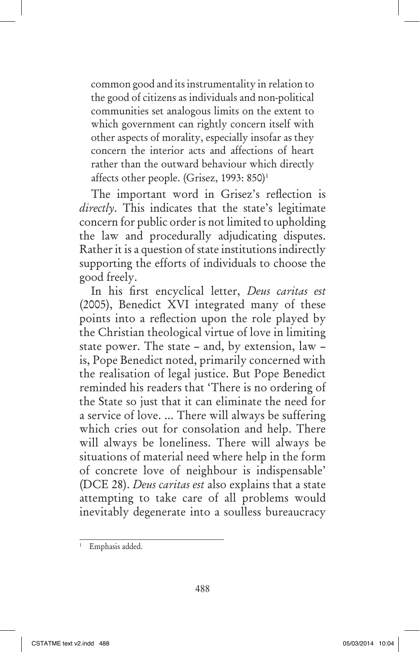common good and its instrumentality in relation to the good of citizens as individuals and non-political communities set analogous limits on the extent to which government can rightly concern itself with other aspects of morality, especially insofar as they concern the interior acts and affections of heart rather than the outward behaviour which directly affects other people. (Grisez, 1993: 850)<sup>1</sup>

The important word in Grisez's reflection is *directly*. This indicates that the state's legitimate concern for public order is not limited to upholding the law and procedurally adjudicating disputes. Rather it is a question of state institutions indirectly supporting the efforts of individuals to choose the good freely.

In his first encyclical letter, *Deus caritas est*  (2005), Benedict XVI integrated many of these points into a reflection upon the role played by the Christian theological virtue of love in limiting state power. The state – and, by extension, law – is, Pope Benedict noted, primarily concerned with the realisation of legal justice. But Pope Benedict reminded his readers that 'There is no ordering of the State so just that it can eliminate the need for a service of love. ... There will always be suffering which cries out for consolation and help. There will always be loneliness. There will always be situations of material need where help in the form of concrete love of neighbour is indispensable' (DCE 28). *Deus caritas est* also explains that a state attempting to take care of all problems would inevitably degenerate into a soulless bureaucracy

<sup>1</sup> Emphasis added.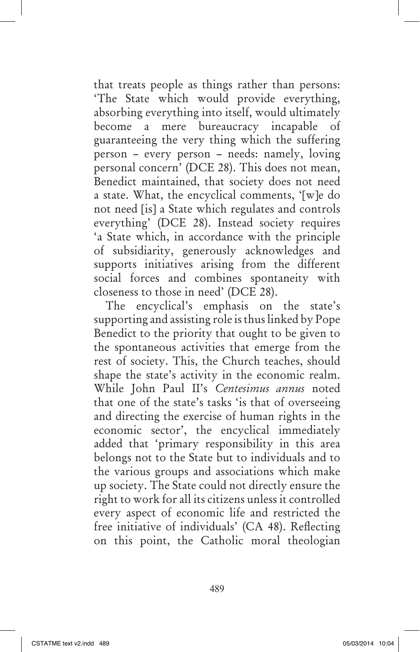that treats people as things rather than persons: 'The State which would provide everything, absorbing everything into itself, would ultimately become a mere bureaucracy incapable of guaranteeing the very thing which the suffering person – every person – needs: namely, loving personal concern' (DCE 28). This does not mean, Benedict maintained, that society does not need a state. What, the encyclical comments, '[w]e do not need [is] a State which regulates and controls everything' (DCE 28). Instead society requires 'a State which, in accordance with the principle of subsidiarity, generously acknowledges and supports initiatives arising from the different social forces and combines spontaneity with closeness to those in need' (DCE 28).

The encyclical's emphasis on the state's supporting and assisting role is thus linked by Pope Benedict to the priority that ought to be given to the spontaneous activities that emerge from the rest of society. This, the Church teaches, should shape the state's activity in the economic realm. While John Paul II's *Centesimus annus* noted that one of the state's tasks 'is that of overseeing and directing the exercise of human rights in the economic sector', the encyclical immediately added that 'primary responsibility in this area belongs not to the State but to individuals and to the various groups and associations which make up society. The State could not directly ensure the right to work for all its citizens unless it controlled every aspect of economic life and restricted the free initiative of individuals' (CA 48). Reflecting on this point, the Catholic moral theologian

489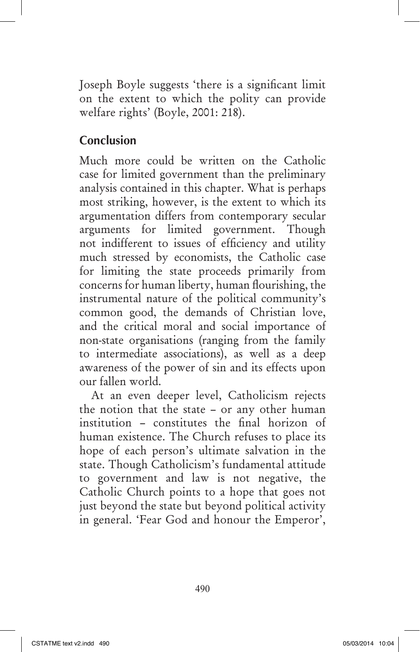Joseph Boyle suggests 'there is a significant limit on the extent to which the polity can provide welfare rights' (Boyle, 2001: 218).

### **Conclusion**

Much more could be written on the Catholic case for limited government than the preliminary analysis contained in this chapter. What is perhaps most striking, however, is the extent to which its argumentation differs from contemporary secular arguments for limited government. Though not indifferent to issues of efficiency and utility much stressed by economists, the Catholic case for limiting the state proceeds primarily from concerns for human liberty, human flourishing, the instrumental nature of the political community's common good, the demands of Christian love, and the critical moral and social importance of non-state organisations (ranging from the family to intermediate associations), as well as a deep awareness of the power of sin and its effects upon our fallen world.

At an even deeper level, Catholicism rejects the notion that the state – or any other human institution – constitutes the final horizon of human existence. The Church refuses to place its hope of each person's ultimate salvation in the state. Though Catholicism's fundamental attitude to government and law is not negative, the Catholic Church points to a hope that goes not just beyond the state but beyond political activity in general. 'Fear God and honour the Emperor',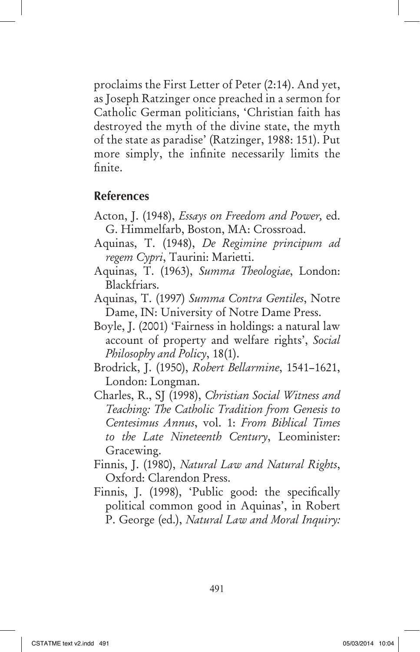proclaims the First Letter of Peter (2:14). And yet, as Joseph Ratzinger once preached in a sermon for Catholic German politicians, 'Christian faith has destroyed the myth of the divine state, the myth of the state as paradise' (Ratzinger, 1988: 151). Put more simply, the infinite necessarily limits the finite.

#### **References**

- Acton, J. (1948), *Essays on Freedom and Power,* ed. G. Himmelfarb, Boston, MA: Crossroad.
- Aquinas, T. (1948), *De Regimine principum ad regem Cypri*, Taurini: Marietti.
- Aquinas, T. (1963), *Summa Theologiae*, London: Blackfriars.
- Aquinas, T. (1997) *Summa Contra Gentiles*, Notre Dame, IN: University of Notre Dame Press.
- Boyle, J. (2001) 'Fairness in holdings: a natural law account of property and welfare rights', *Social Philosophy and Policy*, 18(1).
- Brodrick, J. (1950), *Robert Bellarmine*, 1541–1621, London: Longman.
- Charles, R., SJ (1998), *Christian Social Witness and Teaching: The Catholic Tradition from Genesis to Centesimus Annus*, vol. 1: *From Biblical Times to the Late Nineteenth Century*, Leominister: Gracewing.
- Finnis, J. (1980), *Natural Law and Natural Rights*, Oxford: Clarendon Press.
- Finnis, J. (1998), 'Public good: the specifically political common good in Aquinas', in Robert P. George (ed.), *Natural Law and Moral Inquiry:*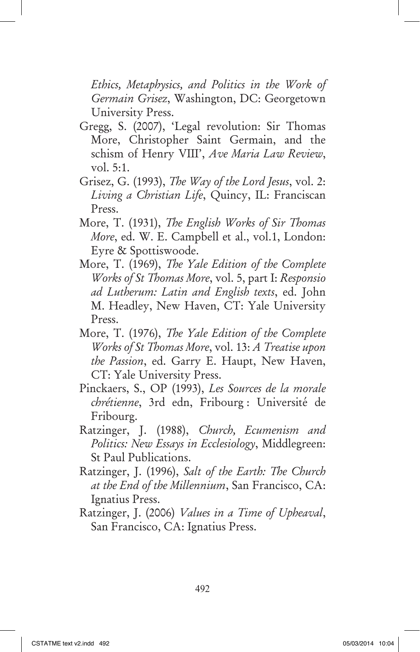*Ethics, Metaphysics, and Politics in the Work of Germain Grisez*, Washington, DC: Georgetown University Press.

- Gregg, S. (2007), 'Legal revolution: Sir Thomas More, Christopher Saint Germain, and the schism of Henry VIII', *Ave Maria Law Review*, vol. 5:1.
- Grisez, G. (1993), *The Way of the Lord Jesus*, vol. 2: *Living a Christian Life*, Quincy, IL: Franciscan Press.
- More, T. (1931), *The English Works of Sir Thomas More*, ed. W. E. Campbell et al., vol.1, London: Eyre & Spottiswoode.
- More, T. (1969), *The Yale Edition of the Complete Works of St Thomas More*, vol. 5, part I: *Responsio ad Lutherum: Latin and English texts*, ed. John M. Headley, New Haven, CT: Yale University Press.
- More, T. (1976), *The Yale Edition of the Complete Works of St Thomas More*, vol. 13: *A Treatise upon the Passion*, ed. Garry E. Haupt, New Haven, CT: Yale University Press.
- Pinckaers, S., OP (1993), *Les Sources de la morale chrétienne*, 3rd edn, Fribourg : Université de Fribourg.
- Ratzinger, J. (1988), *Church, Ecumenism and Politics: New Essays in Ecclesiology*, Middlegreen: St Paul Publications.
- Ratzinger, J. (1996), *Salt of the Earth: The Church at the End of the Millennium*, San Francisco, CA: Ignatius Press.
- Ratzinger, J. (2006) *Values in a Time of Upheaval*, San Francisco, CA: Ignatius Press.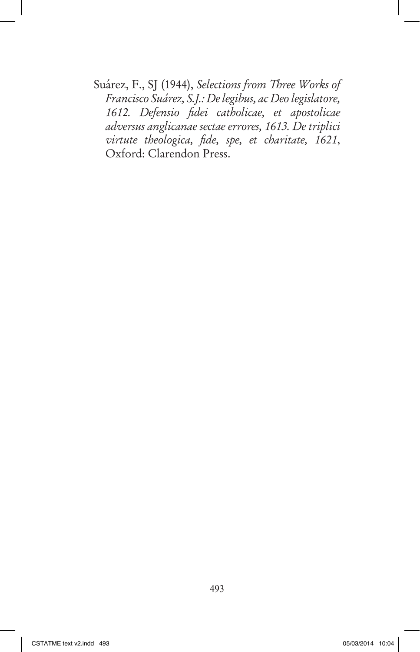Suárez, F., SJ (1944), *Selections from Three Works of Francisco Suárez, S.J.: De legibus, ac Deo legislatore, 1612. Defensio fidei catholicae, et apostolicae adversus anglicanae sectae errores, 1613. De triplici virtute theologica, fide, spe, et charitate, 1621*, Oxford: Clarendon Press.